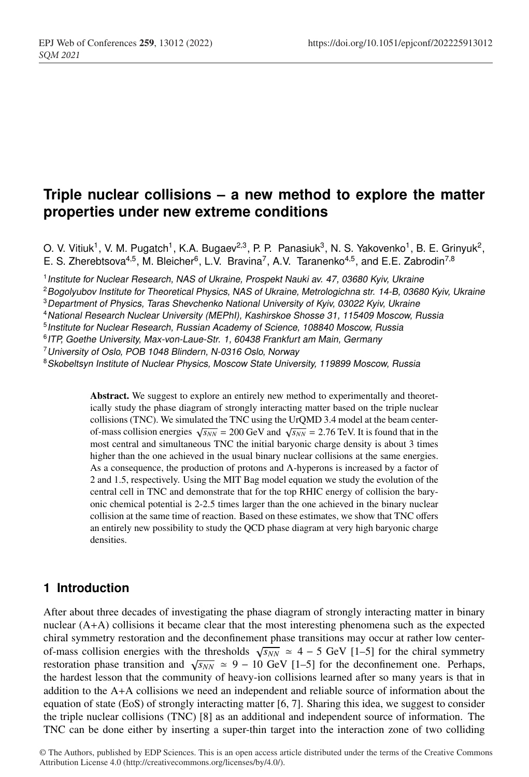# **Triple nuclear collisions – a new method to explore the matter properties under new extreme conditions**

O. V. Vitiuk<sup>1</sup>, V. M. Pugatch<sup>1</sup>, K.A. Bugaev<sup>2,3</sup>, P. P. Panasiuk<sup>3</sup>, N. S. Yakovenko<sup>1</sup>, B. E. Grinyuk<sup>2</sup>, E. S. Zherebtsova<sup>4,5</sup>, M. Bleicher<sup>6</sup>, L.V. Bravina<sup>7</sup>, A.V. Taranenko<sup>4,5</sup>, and E.E. Zabrodin<sup>7,8</sup>

<sup>1</sup>*Institute for Nuclear Research, NAS of Ukraine, Prospekt Nauki av. 47, 03680 Kyiv, Ukraine*

<sup>3</sup>*Department of Physics, Taras Shevchenko National University of Kyiv, 03022 Kyiv, Ukraine*

<sup>5</sup>*Institute for Nuclear Research, Russian Academy of Science, 108840 Moscow, Russia*

<sup>6</sup>*ITP, Goethe University, Max-von-Laue-Str. 1, 60438 Frankfurt am Main, Germany*

<sup>7</sup>*University of Oslo, POB 1048 Blindern, N-0316 Oslo, Norway*

<sup>8</sup>*Skobeltsyn Institute of Nuclear Physics, Moscow State University, 119899 Moscow, Russia*

Abstract. We suggest to explore an entirely new method to experimentally and theoretically study the phase diagram of strongly interacting matter based on the triple nuclear collisions (TNC). We simulated the TNC using the UrQMD 3.4 model at the beam centerof-mass collision energies  $\sqrt{s_{NN}}$  = 200 GeV and  $\sqrt{s_{NN}}$  = 2.76 TeV. It is found that in the most central and simultaneous TNC the initial baryonic charge density is about 3 times higher than the one achieved in the usual binary nuclear collisions at the same energies. As a consequence, the production of protons and  $\Lambda$ -hyperons is increased by a factor of 2 and 1.5, respectively. Using the MIT Bag model equation we study the evolution of the central cell in TNC and demonstrate that for the top RHIC energy of collision the baryonic chemical potential is 2-2.5 times larger than the one achieved in the binary nuclear collision at the same time of reaction. Based on these estimates, we show that TNC offers an entirely new possibility to study the QCD phase diagram at very high baryonic charge densities.

### **1 Introduction**

After about three decades of investigating the phase diagram of strongly interacting matter in binary nuclear (A+A) collisions it became clear that the most interesting phenomena such as the expected chiral symmetry restoration and the deconfinement phase transitions may occur at rather low centerof-mass collision energies with the thresholds  $\sqrt{s_{NN}} \approx 4 - 5$  GeV [1–5] for the chiral symmetry restoration phase transition and  $\sqrt{s_{NN}} \approx 9 - 10$  GeV [1–5] for the deconfinement one. Perhaps, the hardest lesson that the community of heavy-ion collisions learned after so many years is that in addition to the A+A collisions we need an independent and reliable source of information about the equation of state (EoS) of strongly interacting matter [6, 7]. Sharing this idea, we suggest to consider the triple nuclear collisions (TNC) [8] as an additional and independent source of information. The TNC can be done either by inserting a super-thin target into the interaction zone of two colliding

<sup>2</sup>*Bogolyubov Institute for Theoretical Physics, NAS of Ukraine, Metrologichna str. 14-B, 03680 Kyiv, Ukraine*

<sup>4</sup>*National Research Nuclear University (MEPhI), Kashirskoe Shosse 31, 115409 Moscow, Russia*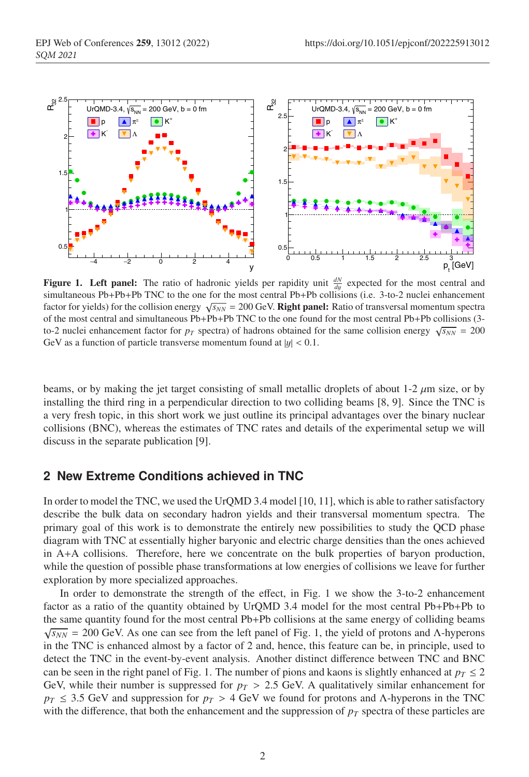

eparator and conferences are the conferences of  $\mathcal{L}_\mathcal{D}$ 

**Figure 1. Left panel:** The ratio of hadronic yields per rapidity unit  $\frac{dN}{dy}$  expected for the most central and simultaneous Pb+Pb+Pb TNC to the one for the most central Pb+Pb collisions (i.e. 3-to-2 nuclei enhancement factor for yields) for the collision energy  $\sqrt{s_{NN}}$  = 200 GeV. **Right panel:** Ratio of transversal momentum spectra of the most central and simultaneous Pb+Pb+Pb TNC to the one found for the most central Pb+Pb collisions (3 to-2 nuclei enhancement factor for  $p_T$  spectra) of hadrons obtained for the same collision energy  $\sqrt{s_{NN}} = 200$ GeV as a function of particle transverse momentum found at  $|y| < 0.1$ .

beams, or by making the jet target consisting of small metallic droplets of about 1-2  $\mu$ m size, or by installing the third ring in a perpendicular direction to two colliding beams [8, 9]. Since the TNC is a very fresh topic, in this short work we just outline its principal advantages over the binary nuclear collisions (BNC), whereas the estimates of TNC rates and details of the experimental setup we will discuss in the separate publication [9].

#### **2 New Extreme Conditions achieved in TNC**

In order to model the TNC, we used the UrQMD 3.4 model [10, 11], which is able to rather satisfactory describe the bulk data on secondary hadron yields and their transversal momentum spectra. The primary goal of this work is to demonstrate the entirely new possibilities to study the QCD phase diagram with TNC at essentially higher baryonic and electric charge densities than the ones achieved in A+A collisions. Therefore, here we concentrate on the bulk properties of baryon production, while the question of possible phase transformations at low energies of collisions we leave for further exploration by more specialized approaches.

In order to demonstrate the strength of the effect, in Fig. 1 we show the 3-to-2 enhancement factor as a ratio of the quantity obtained by UrQMD 3.4 model for the most central Pb+Pb+Pb to the same quantity found for the most central Pb+Pb collisions at the same energy of colliding beams  $\sqrt{s_{NN}}$  = 200 GeV. As one can see from the left panel of Fig. 1, the yield of protons and Λ-hyperons in the TNC is enhanced almost by a factor of 2 and, hence, this feature can be, in principle, used to detect the TNC in the event-by-event analysis. Another distinct difference between TNC and BNC can be seen in the right panel of Fig. 1. The number of pions and kaons is slightly enhanced at  $p_T \leq 2$ GeV, while their number is suppressed for  $p_T > 2.5$  GeV. A qualitatively similar enhancement for  $p_T \le 3.5$  GeV and suppression for  $p_T > 4$  GeV we found for protons and Λ-hyperons in the TNC with the difference, that both the enhancement and the suppression of  $p<sub>T</sub>$  spectra of these particles are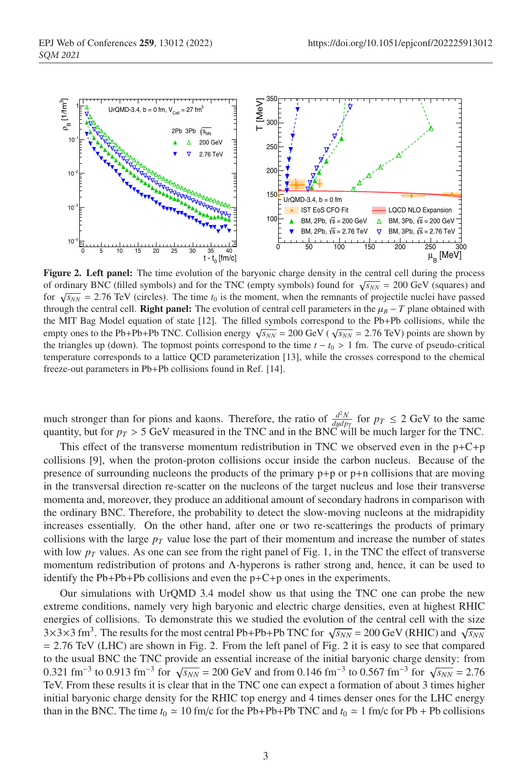

strangeness in Australia and Australia and Australia and Australia and Australia and Australia and Australia a<br>Strangeness in Australia and Australia and Australia and Australia and Australia and Australia and Australia

Figure 2. Left panel: The time evolution of the baryonic charge density in the central cell during the process of ordinary BNC (filled symbols) and for the TNC (empty symbols) found for  $\sqrt{s_{NN}} = 200$  GeV (squares) and for  $\sqrt{s_{NN}}$  = 2.76 TeV (circles). The time  $t_0$  is the moment, when the remnants of projectile nuclei have passed through the central cell. **Right panel:** The evolution of central cell parameters in the  $\mu_B - T$  plane obtained with the MIT Bag Model equation of state [12]. The filled symbols correspond to the Pb+Pb collisions, while the empty ones to the Pb+Pb+Pb TNC. Collision energy  $\sqrt{s_{NN}} = 200 \text{ GeV} (\sqrt{s_{NN}} = 2.76 \text{ TeV})$  points are shown by the triangles up (down). The topmost points correspond to the time  $t - t_0 > 1$  fm. The curve of pseudo-critical temperature corresponds to a lattice QCD parameterization [13], while the crosses correspond to the chemical freeze-out parameters in Pb+Pb collisions found in Ref. [14].

much stronger than for pions and kaons. Therefore, the ratio of  $\frac{d^2N}{dydp_T}$  for  $p_T \le 2$  GeV to the same quantity, but for  $p_T > 5$  GeV measured in the TNC and in the BNC will be much larger for the TNC.

This effect of the transverse momentum redistribution in TNC we observed even in the  $p+C+p$ collisions [9], when the proton-proton collisions occur inside the carbon nucleus. Because of the presence of surrounding nucleons the products of the primary p+p or p+n collisions that are moving in the transversal direction re-scatter on the nucleons of the target nucleus and lose their transverse momenta and, moreover, they produce an additional amount of secondary hadrons in comparison with the ordinary BNC. Therefore, the probability to detect the slow-moving nucleons at the midrapidity increases essentially. On the other hand, after one or two re-scatterings the products of primary collisions with the large  $p<sub>T</sub>$  value lose the part of their momentum and increase the number of states with low  $p_T$  values. As one can see from the right panel of Fig. 1, in the TNC the effect of transverse momentum redistribution of protons and Λ-hyperons is rather strong and, hence, it can be used to identify the Pb+Pb+Pb collisions and even the  $p+C+p$  ones in the experiments.

Our simulations with UrQMD 3.4 model show us that using the TNC one can probe the new extreme conditions, namely very high baryonic and electric charge densities, even at highest RHIC energies of collisions. To demonstrate this we studied the evolution of the central cell with the size  $3\times3\times3$  fm<sup>3</sup>. The results for the most central Pb+Pb+Pb TNC for  $\sqrt{s_{NN}}$  = 200 GeV (RHIC) and  $\sqrt{s_{NN}}$ = 2.76 TeV (LHC) are shown in Fig. 2. From the left panel of Fig. 2 it is easy to see that compared to the usual BNC the TNC provide an essential increase of the initial baryonic charge density: from 0.321 fm<sup>-3</sup> to 0.913 fm<sup>-3</sup> for  $\sqrt{s_{NN}}$  = 200 GeV and from 0.146 fm<sup>-3</sup> to 0.567 fm<sup>-3</sup> for  $\sqrt{s_{NN}}$  = 2.76 TeV. From these results it is clear that in the TNC one can expect a formation of about 3 times higher initial baryonic charge density for the RHIC top energy and 4 times denser ones for the LHC energy than in the BNC. The time  $t_0 \approx 10$  fm/c for the Pb+Pb+Pb TNC and  $t_0 \approx 1$  fm/c for Pb + Pb collisions